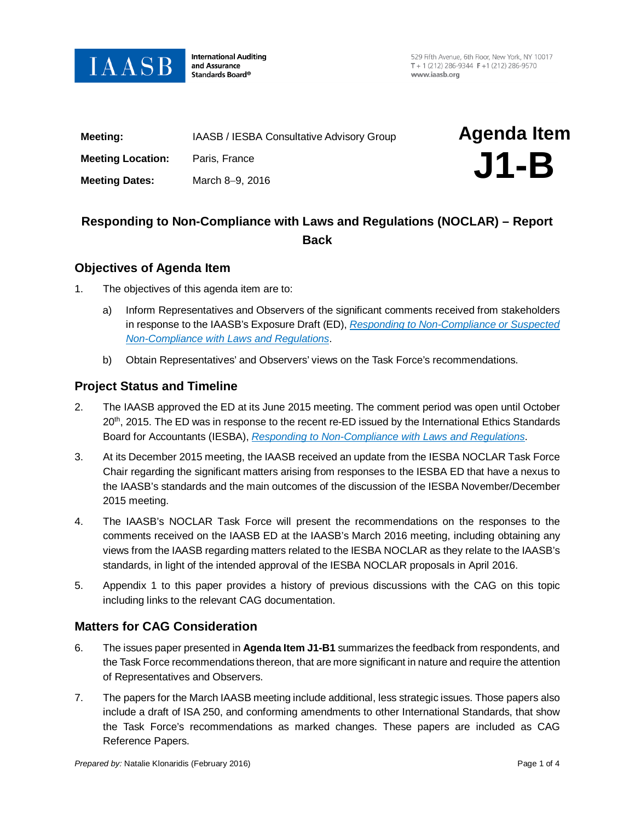

**International Auditing** and Assurance Standards Board®

529 Fifth Avenue, 6th Floor, New York, NY 10017 T + 1 (212) 286-9344  $F$  +1 (212) 286-9570 www.jaasb.org

| Meeting:                 | IAASB / IESBA Consultative Advisory Group | <b>Agenda Item</b> |
|--------------------------|-------------------------------------------|--------------------|
| <b>Meeting Location:</b> | Paris, France                             | $J1-B$             |
| <b>Meeting Dates:</b>    | March 8-9, 2016                           |                    |
|                          |                                           |                    |

# **Responding to Non-Compliance with Laws and Regulations (NOCLAR) – Report Back**

### **Objectives of Agenda Item**

- 1. The objectives of this agenda item are to:
	- a) Inform Representatives and Observers of the significant comments received from stakeholders in response to the IAASB's Exposure Draft (ED), *[Responding to Non-Compliance or Suspected](http://www.ifac.org/system/files/publications/files/IAASB-Exposure-Draft-Proposed-NOCLAR-Amendments_0.pdf)  [Non-Compliance with Laws and Regulations](http://www.ifac.org/system/files/publications/files/IAASB-Exposure-Draft-Proposed-NOCLAR-Amendments_0.pdf)*.
	- b) Obtain Representatives' and Observers' views on the Task Force's recommendations.

#### **Project Status and Timeline**

- 2. The IAASB approved the ED at its June 2015 meeting. The comment period was open until October 20<sup>th</sup>, 2015. The ED was in response to the recent re-ED issued by the International Ethics Standards Board for Accountants (IESBA), *[Responding to Non-Compliance with Laws and Regulations](http://www.ifac.org/system/files/publications/files/IESBA-Non-Compliance-with-Laws-Regulations-Exposure-Draft.pdf)*.
- 3. At its December 2015 meeting, the IAASB received an update from the IESBA NOCLAR Task Force Chair regarding the significant matters arising from responses to the IESBA ED that have a nexus to the IAASB's standards and the main outcomes of the discussion of the IESBA [November/December](http://www.ethicsboard.org/system/files/meetings/files/Agenda-Item-4-A-Updated-NOCLAR-Issues-Paper.pdf)  [2015](http://www.ethicsboard.org/system/files/meetings/files/Agenda-Item-4-A-Updated-NOCLAR-Issues-Paper.pdf) meeting.
- 4. The IAASB's NOCLAR Task Force will present the recommendations on the responses to the comments received on the IAASB ED at the IAASB's March 2016 meeting, including obtaining any views from the IAASB regarding matters related to the IESBA NOCLAR as they relate to the IAASB's standards, in light of the intended approval of the IESBA NOCLAR proposals in April 2016.
- 5. Appendix 1 to this paper provides a history of previous discussions with the CAG on this topic including links to the relevant CAG documentation.

### **Matters for CAG Consideration**

- 6. The issues paper presented in **Agenda Item J1-B1** summarizes the feedback from respondents, and the Task Force recommendations thereon, that are more significant in nature and require the attention of Representatives and Observers.
- 7. The papers for the March IAASB meeting include additional, less strategic issues. Those papers also include a draft of ISA 250, and conforming amendments to other International Standards, that show the Task Force's recommendations as marked changes. These papers are included as CAG Reference Papers.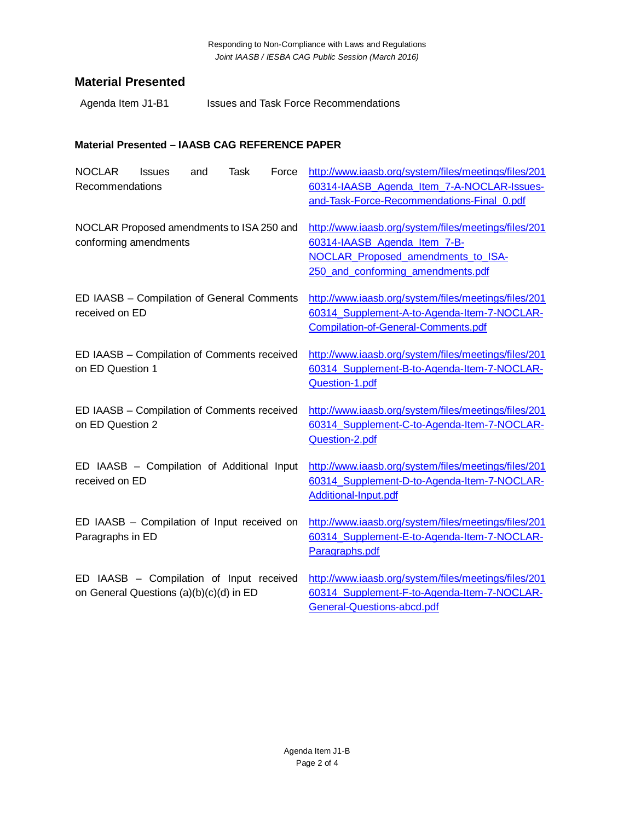## **Material Presented**

Agenda Item J1-B1 Issues and Task Force Recommendations

### **Material Presented – IAASB CAG REFERENCE PAPER**

| <b>NOCLAR</b><br><b>Task</b><br>Issues<br>Force<br>and<br>Recommendations           | http://www.iaasb.org/system/files/meetings/files/201<br>60314-IAASB Agenda Item 7-A-NOCLAR-Issues-<br>and-Task-Force-Recommendations-Final_0.pdf                |
|-------------------------------------------------------------------------------------|-----------------------------------------------------------------------------------------------------------------------------------------------------------------|
| NOCLAR Proposed amendments to ISA 250 and<br>conforming amendments                  | http://www.iaasb.org/system/files/meetings/files/201<br>60314-IAASB Agenda Item 7-B-<br>NOCLAR_Proposed_amendments_to_ISA-<br>250_and_conforming_amendments.pdf |
| ED IAASB - Compilation of General Comments<br>received on ED                        | http://www.iaasb.org/system/files/meetings/files/201<br>60314_Supplement-A-to-Agenda-Item-7-NOCLAR-<br>Compilation-of-General-Comments.pdf                      |
| ED IAASB - Compilation of Comments received<br>on ED Question 1                     | http://www.iaasb.org/system/files/meetings/files/201<br>60314_Supplement-B-to-Agenda-Item-7-NOCLAR-<br>Question-1.pdf                                           |
| ED IAASB - Compilation of Comments received<br>on ED Question 2                     | http://www.iaasb.org/system/files/meetings/files/201<br>60314_Supplement-C-to-Agenda-Item-7-NOCLAR-<br>Question-2.pdf                                           |
| ED IAASB - Compilation of Additional Input<br>received on ED                        | http://www.iaasb.org/system/files/meetings/files/201<br>60314_Supplement-D-to-Agenda-Item-7-NOCLAR-<br>Additional-Input.pdf                                     |
| ED IAASB - Compilation of Input received on<br>Paragraphs in ED                     | http://www.iaasb.org/system/files/meetings/files/201<br>60314_Supplement-E-to-Agenda-Item-7-NOCLAR-<br>Paragraphs.pdf                                           |
| ED IAASB - Compilation of Input received<br>on General Questions (a)(b)(c)(d) in ED | http://www.iaasb.org/system/files/meetings/files/201<br>60314_Supplement-F-to-Agenda-Item-7-NOCLAR-<br>General-Questions-abcd.pdf                               |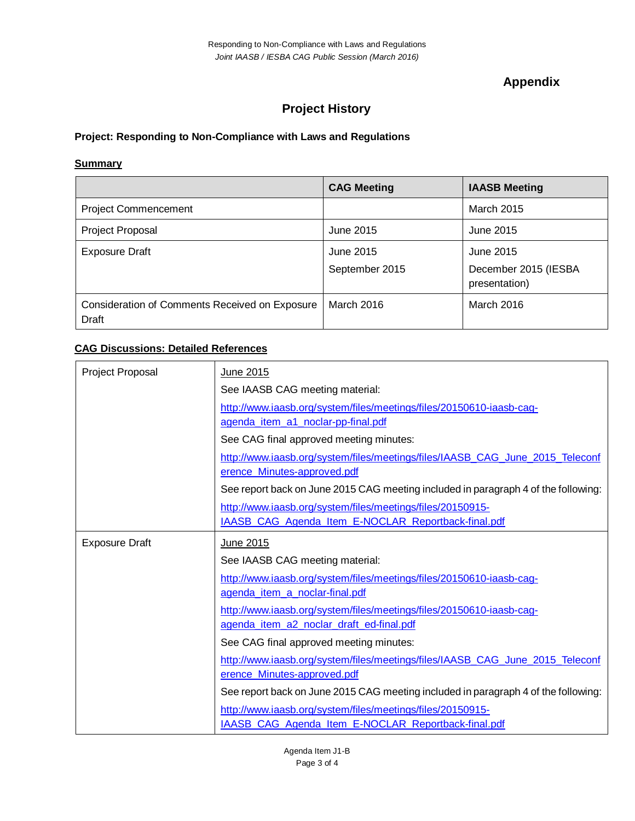## **Appendix**

# **Project History**

### **Project: Responding to Non-Compliance with Laws and Regulations**

#### **Summary**

|                                                         | <b>CAG Meeting</b>          | <b>IAASB Meeting</b>                               |
|---------------------------------------------------------|-----------------------------|----------------------------------------------------|
| <b>Project Commencement</b>                             |                             | <b>March 2015</b>                                  |
| <b>Project Proposal</b>                                 | June 2015                   | June 2015                                          |
| <b>Exposure Draft</b>                                   | June 2015<br>September 2015 | June 2015<br>December 2015 (IESBA<br>presentation) |
| Consideration of Comments Received on Exposure<br>Draft | March 2016                  | March 2016                                         |

### **CAG Discussions: Detailed References**

| <b>Project Proposal</b> | June 2015                                                                                                    |  |
|-------------------------|--------------------------------------------------------------------------------------------------------------|--|
|                         | See IAASB CAG meeting material:                                                                              |  |
|                         | http://www.iaasb.org/system/files/meetings/files/20150610-iaasb-cag-                                         |  |
|                         | agenda_item_a1_noclar-pp-final.pdf                                                                           |  |
|                         | See CAG final approved meeting minutes:                                                                      |  |
|                         | http://www.iaasb.org/system/files/meetings/files/IAASB CAG June 2015 Teleconf<br>erence_Minutes-approved.pdf |  |
|                         | See report back on June 2015 CAG meeting included in paragraph 4 of the following:                           |  |
|                         | http://www.iaasb.org/system/files/meetings/files/20150915-                                                   |  |
|                         | IAASB_CAG_Agenda_Item_E-NOCLAR_Reportback-final.pdf                                                          |  |
| <b>Exposure Draft</b>   | June 2015                                                                                                    |  |
|                         | See IAASB CAG meeting material:                                                                              |  |
|                         | http://www.iaasb.org/system/files/meetings/files/20150610-iaasb-cag-                                         |  |
|                         | agenda_item_a_noclar-final.pdf                                                                               |  |
|                         | http://www.iaasb.org/system/files/meetings/files/20150610-iaasb-cag-                                         |  |
|                         | agenda_item_a2_noclar_draft_ed-final.pdf                                                                     |  |
|                         | See CAG final approved meeting minutes:                                                                      |  |
|                         | http://www.iaasb.org/system/files/meetings/files/IAASB CAG June 2015 Teleconf<br>erence_Minutes-approved.pdf |  |
|                         | See report back on June 2015 CAG meeting included in paragraph 4 of the following:                           |  |
|                         | http://www.iaasb.org/system/files/meetings/files/20150915-                                                   |  |
|                         | IAASB_CAG_Agenda_Item_E-NOCLAR_Reportback-final.pdf                                                          |  |